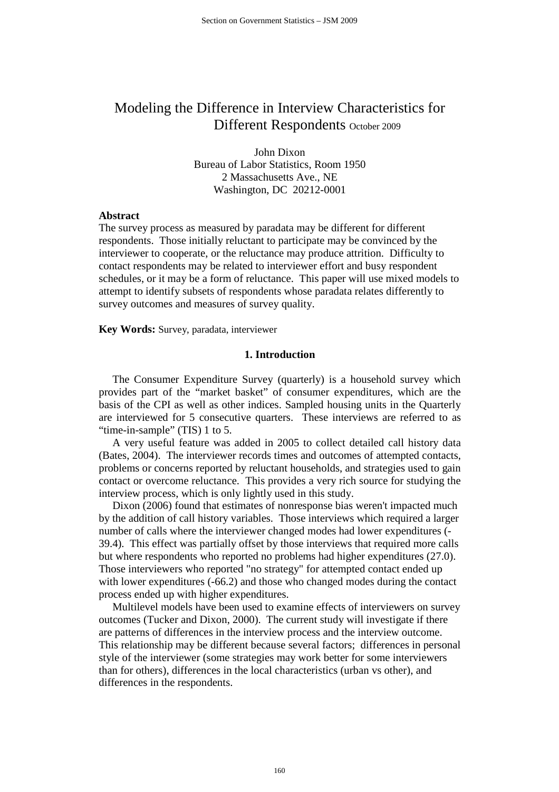# Modeling the Difference in Interview Characteristics for Different Respondents October 2009

John Dixon Bureau of Labor Statistics, Room 1950 2 Massachusetts Ave., NE Washington, DC 20212-0001

#### **Abstract**

The survey process as measured by paradata may be different for different respondents. Those initially reluctant to participate may be convinced by the interviewer to cooperate, or the reluctance may produce attrition. Difficulty to contact respondents may be related to interviewer effort and busy respondent schedules, or it may be a form of reluctance. This paper will use mixed models to attempt to identify subsets of respondents whose paradata relates differently to survey outcomes and measures of survey quality.

**Key Words:** Survey, paradata, interviewer

# **1. Introduction**

 The Consumer Expenditure Survey (quarterly) is a household survey which provides part of the "market basket" of consumer expenditures, which are the basis of the CPI as well as other indices. Sampled housing units in the Quarterly are interviewed for 5 consecutive quarters. These interviews are referred to as "time-in-sample" (TIS) 1 to 5.

 A very useful feature was added in 2005 to collect detailed call history data (Bates, 2004). The interviewer records times and outcomes of attempted contacts, problems or concerns reported by reluctant households, and strategies used to gain contact or overcome reluctance. This provides a very rich source for studying the interview process, which is only lightly used in this study.

 Dixon (2006) found that estimates of nonresponse bias weren't impacted much by the addition of call history variables. Those interviews which required a larger number of calls where the interviewer changed modes had lower expenditures (- 39.4). This effect was partially offset by those interviews that required more calls but where respondents who reported no problems had higher expenditures (27.0). Those interviewers who reported "no strategy" for attempted contact ended up with lower expenditures (-66.2) and those who changed modes during the contact process ended up with higher expenditures.

 Multilevel models have been used to examine effects of interviewers on survey outcomes (Tucker and Dixon, 2000). The current study will investigate if there are patterns of differences in the interview process and the interview outcome. This relationship may be different because several factors; differences in personal style of the interviewer (some strategies may work better for some interviewers than for others), differences in the local characteristics (urban vs other), and differences in the respondents.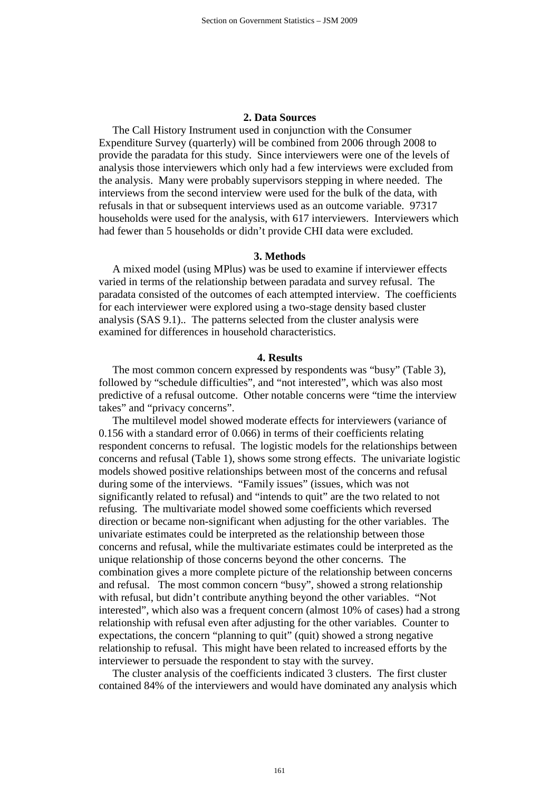# **2. Data Sources**

 The Call History Instrument used in conjunction with the Consumer Expenditure Survey (quarterly) will be combined from 2006 through 2008 to provide the paradata for this study. Since interviewers were one of the levels of analysis those interviewers which only had a few interviews were excluded from the analysis. Many were probably supervisors stepping in where needed. The interviews from the second interview were used for the bulk of the data, with refusals in that or subsequent interviews used as an outcome variable. 97317 households were used for the analysis, with 617 interviewers. Interviewers which had fewer than 5 households or didn't provide CHI data were excluded.

#### **3. Methods**

 A mixed model (using MPlus) was be used to examine if interviewer effects varied in terms of the relationship between paradata and survey refusal. The paradata consisted of the outcomes of each attempted interview. The coefficients for each interviewer were explored using a two-stage density based cluster analysis (SAS 9.1).. The patterns selected from the cluster analysis were examined for differences in household characteristics.

## **4. Results**

 The most common concern expressed by respondents was "busy" (Table 3), followed by "schedule difficulties", and "not interested", which was also most predictive of a refusal outcome. Other notable concerns were "time the interview takes" and "privacy concerns".

 The multilevel model showed moderate effects for interviewers (variance of 0.156 with a standard error of 0.066) in terms of their coefficients relating respondent concerns to refusal. The logistic models for the relationships between concerns and refusal (Table 1), shows some strong effects. The univariate logistic models showed positive relationships between most of the concerns and refusal during some of the interviews. "Family issues" (issues, which was not significantly related to refusal) and "intends to quit" are the two related to not refusing. The multivariate model showed some coefficients which reversed direction or became non-significant when adjusting for the other variables. The univariate estimates could be interpreted as the relationship between those concerns and refusal, while the multivariate estimates could be interpreted as the unique relationship of those concerns beyond the other concerns. The combination gives a more complete picture of the relationship between concerns and refusal. The most common concern "busy", showed a strong relationship with refusal, but didn't contribute anything beyond the other variables. "Not interested", which also was a frequent concern (almost 10% of cases) had a strong relationship with refusal even after adjusting for the other variables. Counter to expectations, the concern "planning to quit" (quit) showed a strong negative relationship to refusal. This might have been related to increased efforts by the interviewer to persuade the respondent to stay with the survey.

 The cluster analysis of the coefficients indicated 3 clusters. The first cluster contained 84% of the interviewers and would have dominated any analysis which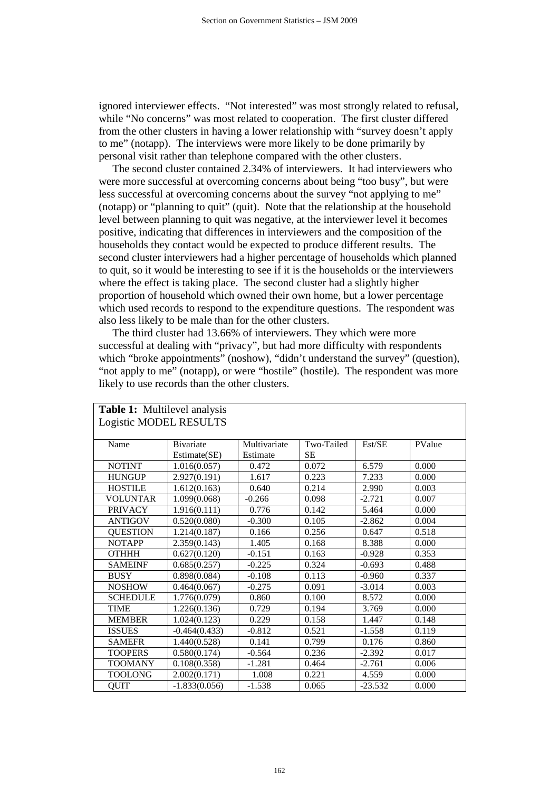ignored interviewer effects. "Not interested" was most strongly related to refusal, while "No concerns" was most related to cooperation. The first cluster differed from the other clusters in having a lower relationship with "survey doesn't apply to me" (notapp). The interviews were more likely to be done primarily by personal visit rather than telephone compared with the other clusters.

 The second cluster contained 2.34% of interviewers. It had interviewers who were more successful at overcoming concerns about being "too busy", but were less successful at overcoming concerns about the survey "not applying to me" (notapp) or "planning to quit" (quit). Note that the relationship at the household level between planning to quit was negative, at the interviewer level it becomes positive, indicating that differences in interviewers and the composition of the households they contact would be expected to produce different results. The second cluster interviewers had a higher percentage of households which planned to quit, so it would be interesting to see if it is the households or the interviewers where the effect is taking place. The second cluster had a slightly higher proportion of household which owned their own home, but a lower percentage which used records to respond to the expenditure questions. The respondent was also less likely to be male than for the other clusters.

 The third cluster had 13.66% of interviewers. They which were more successful at dealing with "privacy", but had more difficulty with respondents which "broke appointments" (noshow), "didn't understand the survey" (question), "not apply to me" (notapp), or were "hostile" (hostile). The respondent was more likely to use records than the other clusters.

| <b>Table 1:</b> Multilevel analysis |                 |              |            |           |        |  |  |
|-------------------------------------|-----------------|--------------|------------|-----------|--------|--|--|
| <b>Logistic MODEL RESULTS</b>       |                 |              |            |           |        |  |  |
|                                     |                 |              |            |           |        |  |  |
| Name                                | Bivariate       | Multivariate | Two-Tailed | Est/SE    | PValue |  |  |
|                                     | Estimate(SE)    | Estimate     | <b>SE</b>  |           |        |  |  |
| <b>NOTINT</b>                       | 1.016(0.057)    | 0.472        | 0.072      | 6.579     | 0.000  |  |  |
| <b>HUNGUP</b>                       | 2.927(0.191)    | 1.617        | 0.223      | 7.233     | 0.000  |  |  |
| <b>HOSTILE</b>                      | 1.612(0.163)    | 0.640        | 0.214      | 2.990     | 0.003  |  |  |
| <b>VOLUNTAR</b>                     | 1.099(0.068)    | $-0.266$     | 0.098      | $-2.721$  | 0.007  |  |  |
| <b>PRIVACY</b>                      | 1.916(0.111)    | 0.776        | 0.142      | 5.464     | 0.000  |  |  |
| <b>ANTIGOV</b>                      | 0.520(0.080)    | $-0.300$     | 0.105      | $-2.862$  | 0.004  |  |  |
| <b>QUESTION</b>                     | 1.214(0.187)    | 0.166        | 0.256      | 0.647     | 0.518  |  |  |
| <b>NOTAPP</b>                       | 2.359(0.143)    | 1.405        | 0.168      | 8.388     | 0.000  |  |  |
| <b>OTHHH</b>                        | 0.627(0.120)    | $-0.151$     | 0.163      | $-0.928$  | 0.353  |  |  |
| <b>SAMEINF</b>                      | 0.685(0.257)    | $-0.225$     | 0.324      | $-0.693$  | 0.488  |  |  |
| <b>BUSY</b>                         | 0.898(0.084)    | $-0.108$     | 0.113      | $-0.960$  | 0.337  |  |  |
| <b>NOSHOW</b>                       | 0.464(0.067)    | $-0.275$     | 0.091      | $-3.014$  | 0.003  |  |  |
| <b>SCHEDULE</b>                     | 1.776(0.079)    | 0.860        | 0.100      | 8.572     | 0.000  |  |  |
| <b>TIME</b>                         | 1.226(0.136)    | 0.729        | 0.194      | 3.769     | 0.000  |  |  |
| <b>MEMBER</b>                       | 1.024(0.123)    | 0.229        | 0.158      | 1.447     | 0.148  |  |  |
| <b>ISSUES</b>                       | $-0.464(0.433)$ | $-0.812$     | 0.521      | $-1.558$  | 0.119  |  |  |
| <b>SAMEFR</b>                       | 1.440(0.528)    | 0.141        | 0.799      | 0.176     | 0.860  |  |  |
| <b>TOOPERS</b>                      | 0.580(0.174)    | $-0.564$     | 0.236      | $-2.392$  | 0.017  |  |  |
| <b>TOOMANY</b>                      | 0.108(0.358)    | $-1.281$     | 0.464      | $-2.761$  | 0.006  |  |  |
| <b>TOOLONG</b>                      | 2.002(0.171)    | 1.008        | 0.221      | 4.559     | 0.000  |  |  |
| OUIT                                | $-1.833(0.056)$ | $-1.538$     | 0.065      | $-23.532$ | 0.000  |  |  |

162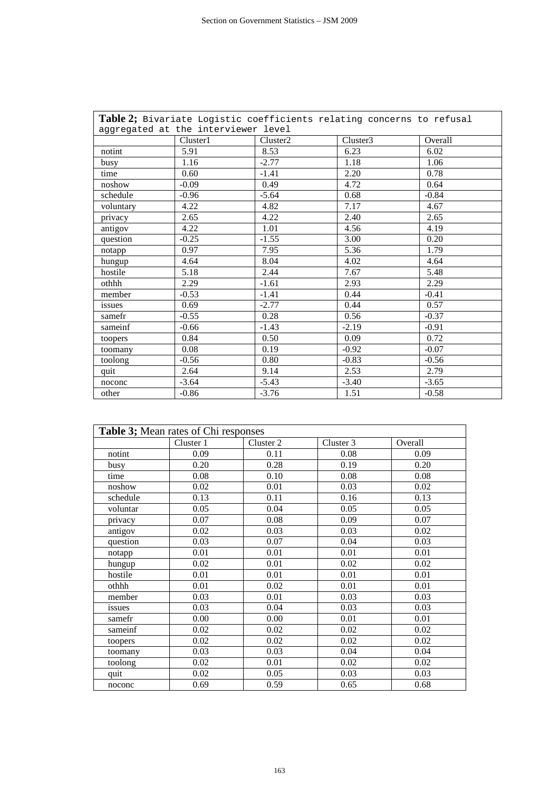| Table 2; Bivariate Logistic coefficients relating concerns to refusal |          |                      |          |         |  |  |  |
|-----------------------------------------------------------------------|----------|----------------------|----------|---------|--|--|--|
| aggregated at the interviewer level                                   |          |                      |          |         |  |  |  |
|                                                                       | Cluster1 | Cluster <sub>2</sub> | Cluster3 | Overall |  |  |  |
| notint                                                                | 5.91     | 8.53                 | 6.23     | 6.02    |  |  |  |
| busy                                                                  | 1.16     | $-2.77$              | 1.18     | 1.06    |  |  |  |
| time                                                                  | 0.60     | $-1.41$              | 2.20     | 0.78    |  |  |  |
| noshow                                                                | $-0.09$  | 0.49                 | 4.72     | 0.64    |  |  |  |
| schedule                                                              | $-0.96$  | $-5.64$              | 0.68     | $-0.84$ |  |  |  |
| voluntary                                                             | 4.22     | 4.82                 | 7.17     | 4.67    |  |  |  |
| privacy                                                               | 2.65     | 4.22                 | 2.40     | 2.65    |  |  |  |
| antigov                                                               | 4.22     | 1.01                 | 4.56     | 4.19    |  |  |  |
| question                                                              | $-0.25$  | $-1.55$              | 3.00     | 0.20    |  |  |  |
| notapp                                                                | 0.97     | 7.95                 | 5.36     | 1.79    |  |  |  |
| hungup                                                                | 4.64     | 8.04                 | 4.02     | 4.64    |  |  |  |
| hostile                                                               | 5.18     | 2.44                 | 7.67     | 5.48    |  |  |  |
| othhh                                                                 | 2.29     | $-1.61$              | 2.93     | 2.29    |  |  |  |
| member                                                                | $-0.53$  | $-1.41$              | 0.44     | $-0.41$ |  |  |  |
| issues                                                                | 0.69     | $-2.77$              | 0.44     | 0.57    |  |  |  |
| samefr                                                                | $-0.55$  | 0.28                 | 0.56     | $-0.37$ |  |  |  |
| sameinf                                                               | $-0.66$  | $-1.43$              | $-2.19$  | $-0.91$ |  |  |  |
| toopers                                                               | 0.84     | 0.50                 | 0.09     | 0.72    |  |  |  |
| toomany                                                               | 0.08     | 0.19                 | $-0.92$  | $-0.07$ |  |  |  |
| toolong                                                               | $-0.56$  | 0.80                 | $-0.83$  | $-0.56$ |  |  |  |
| quit                                                                  | 2.64     | 9.14                 | 2.53     | 2.79    |  |  |  |
| noconc                                                                | $-3.64$  | $-5.43$              | $-3.40$  | $-3.65$ |  |  |  |
| other                                                                 | $-0.86$  | $-3.76$              | 1.51     | $-0.58$ |  |  |  |

| Table 3; Mean rates of Chi responses |           |           |           |         |  |  |  |
|--------------------------------------|-----------|-----------|-----------|---------|--|--|--|
|                                      | Cluster 1 | Cluster 2 | Cluster 3 | Overall |  |  |  |
| notint                               | 0.09      | 0.11      | 0.08      | 0.09    |  |  |  |
| busy                                 | 0.20      | 0.28      | 0.19      | 0.20    |  |  |  |
| time                                 | 0.08      | 0.10      | 0.08      | 0.08    |  |  |  |
| noshow                               | 0.02      | 0.01      | 0.03      | 0.02    |  |  |  |
| schedule                             | 0.13      | 0.11      | 0.16      | 0.13    |  |  |  |
| voluntar                             | 0.05      | 0.04      | 0.05      | 0.05    |  |  |  |
| privacy                              | 0.07      | 0.08      | 0.09      | 0.07    |  |  |  |
| antigov                              | 0.02      | 0.03      | 0.03      | 0.02    |  |  |  |
| question                             | 0.03      | 0.07      | 0.04      | 0.03    |  |  |  |
| notapp                               | 0.01      | 0.01      | 0.01      | 0.01    |  |  |  |
| hungup                               | 0.02      | 0.01      | 0.02      | 0.02    |  |  |  |
| hostile                              | 0.01      | 0.01      | 0.01      | 0.01    |  |  |  |
| othhh                                | 0.01      | 0.02      | 0.01      | 0.01    |  |  |  |
| member                               | 0.03      | 0.01      | 0.03      | 0.03    |  |  |  |
| issues                               | 0.03      | 0.04      | 0.03      | 0.03    |  |  |  |
| samefr                               | 0.00      | 0.00      | 0.01      | 0.01    |  |  |  |
| sameinf                              | 0.02      | 0.02      | 0.02      | 0.02    |  |  |  |
| toopers                              | 0.02      | 0.02      | 0.02      | 0.02    |  |  |  |
| toomany                              | 0.03      | 0.03      | 0.04      | 0.04    |  |  |  |
| toolong                              | 0.02      | 0.01      | 0.02      | 0.02    |  |  |  |
| quit                                 | 0.02      | 0.05      | 0.03      | 0.03    |  |  |  |
| noconc                               | 0.69      | 0.59      | 0.65      | 0.68    |  |  |  |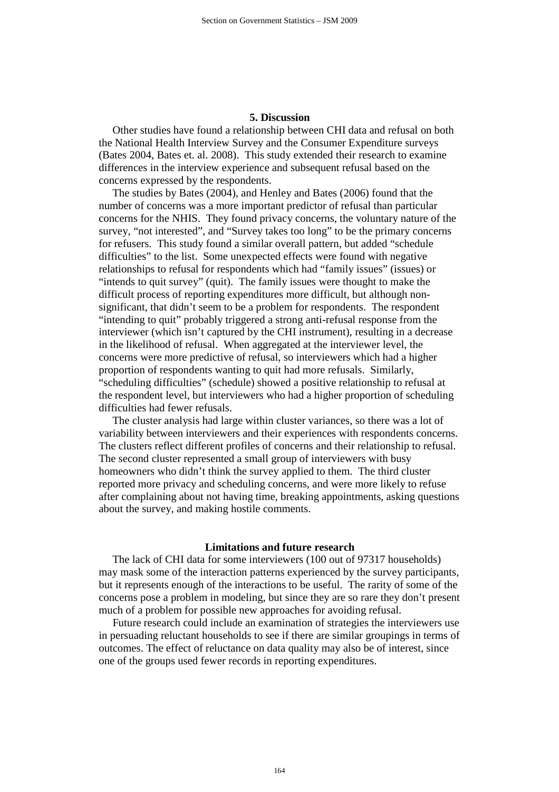# **5. Discussion**

 Other studies have found a relationship between CHI data and refusal on both the National Health Interview Survey and the Consumer Expenditure surveys (Bates 2004, Bates et. al. 2008). This study extended their research to examine differences in the interview experience and subsequent refusal based on the concerns expressed by the respondents.

 The studies by Bates (2004), and Henley and Bates (2006) found that the number of concerns was a more important predictor of refusal than particular concerns for the NHIS. They found privacy concerns, the voluntary nature of the survey, "not interested", and "Survey takes too long" to be the primary concerns for refusers. This study found a similar overall pattern, but added "schedule difficulties" to the list. Some unexpected effects were found with negative relationships to refusal for respondents which had "family issues" (issues) or "intends to quit survey" (quit). The family issues were thought to make the difficult process of reporting expenditures more difficult, but although nonsignificant, that didn't seem to be a problem for respondents. The respondent "intending to quit" probably triggered a strong anti-refusal response from the interviewer (which isn't captured by the CHI instrument), resulting in a decrease in the likelihood of refusal. When aggregated at the interviewer level, the concerns were more predictive of refusal, so interviewers which had a higher proportion of respondents wanting to quit had more refusals. Similarly, "scheduling difficulties" (schedule) showed a positive relationship to refusal at the respondent level, but interviewers who had a higher proportion of scheduling difficulties had fewer refusals.

 The cluster analysis had large within cluster variances, so there was a lot of variability between interviewers and their experiences with respondents concerns. The clusters reflect different profiles of concerns and their relationship to refusal. The second cluster represented a small group of interviewers with busy homeowners who didn't think the survey applied to them. The third cluster reported more privacy and scheduling concerns, and were more likely to refuse after complaining about not having time, breaking appointments, asking questions about the survey, and making hostile comments.

## **Limitations and future research**

 The lack of CHI data for some interviewers (100 out of 97317 households) may mask some of the interaction patterns experienced by the survey participants, but it represents enough of the interactions to be useful. The rarity of some of the concerns pose a problem in modeling, but since they are so rare they don't present much of a problem for possible new approaches for avoiding refusal.

 Future research could include an examination of strategies the interviewers use in persuading reluctant households to see if there are similar groupings in terms of outcomes. The effect of reluctance on data quality may also be of interest, since one of the groups used fewer records in reporting expenditures.